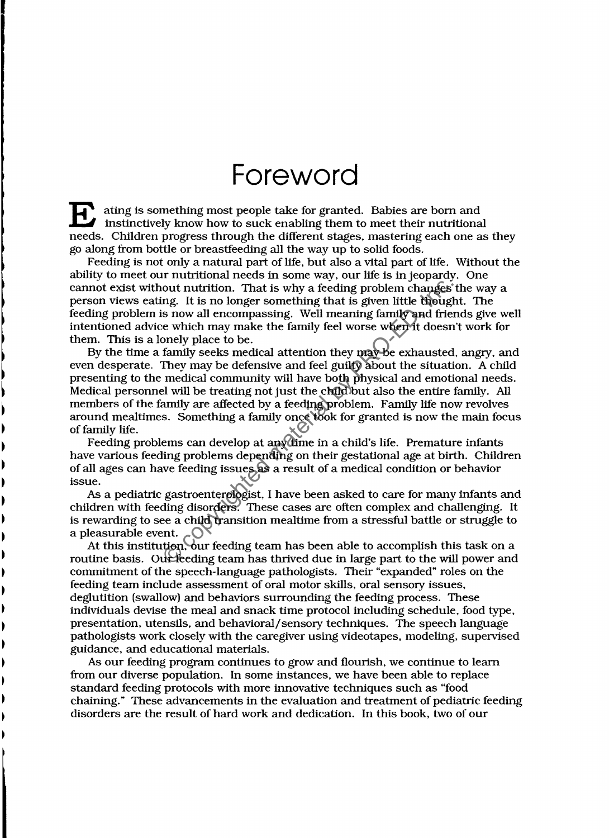## **Foreword**

E ating is something most people take for granted. Babies are born and instinctively know how to suck enabling them to meet their nutritional needs. Children progress through the different stages, mastering each one as they go along from bottle or breastfeeding all the way up to solid foods.

Feeding is not only a natural part of life, but also a vital part of life. Without the ability to meet our nutritional needs in some way, our life is in jeopardy. One cannot exist without nutrition. That is why a feeding problem changes the way a person views eating. It is no longer something that is given little thought. The feeding problem is now all encompassing. Well meaning family and friends give well intentioned advice which may make the family feel worse when it doesn't work for them. This is a lonely place to be.

By the time a family seeks medical attention they may be exhausted, angry, and even desperate. They may be defensive and feel guilty about the situation. A child presenting to the medical community will have both physical and emotional needs. Medical personnel will be treating not just the child but also the entire family. All members of the family are affected by a feeding problem. Family life now revolves around mealtimes. Something a family once took for granted is now the main focus of family life. out nutrition. That is why a feeding problem changes<br>ng. It is no longer something that is given little though<br>s now all encompassing. Well meaning family and frie<br>e which may make the family feel worse when it doesn<br>nely

Feeding problems can develop at any time in a child's life. Premature infants have various feeding problems depending on their gestational age at birth. Children of all ages can have feeding issues as a result of a medical condition or behavior issue.

As a pediatric gastroenterologist, I have been asked to care for many infants and children with feeding disorders. These cases are often complex and challenging. It is rewarding to see a child transition mealtime from a stressful battle or struggle to a pleasurable event.

At this institution, our feeding team has been able to accomplish this task on a routine basis. Our feeding team has thrived due in large part to the will power and commitment of the speech-language pathologists. Their "expanded" roles on the feeding team include assessment of oral motor skills, oral sensory issues, deglutition (swallow) and behaviors surrounding the feeding process. These individuals devise the meal and snack time protocol including schedule, food type, presentation, utensils, and behavioral/sensory techniques. The speech language pathologists work closely with the caregiver using videotapes, modeling, supervised gUidance, and educational materials.

As our feeding program continues to grow and flourish, we continue to learn from our diverse population. In some instances, we have been able to replace standard feeding protocols with more innovative techniques such as "food chaining." These advancements in the evaluation and treatment of pediatric feeding disorders are the result of hard work and dedication. In this book. two of our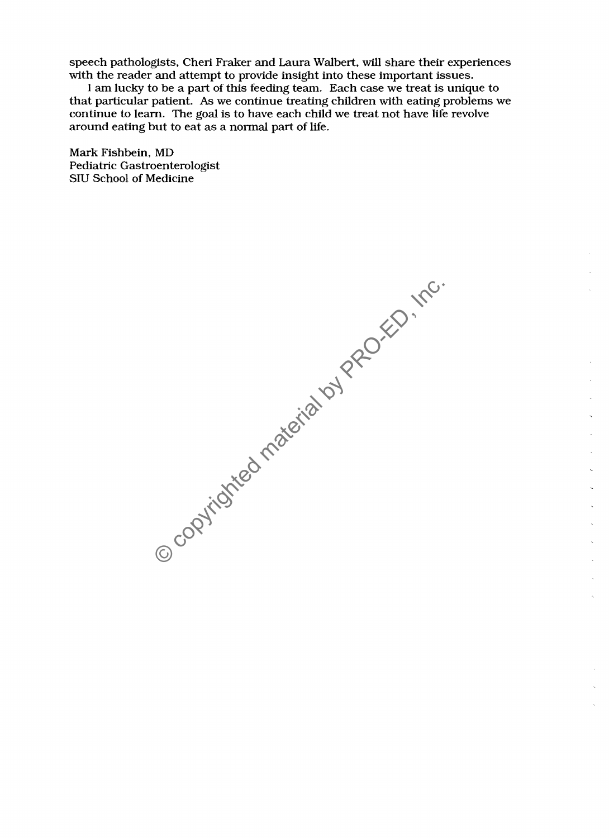speech pathologists, Cheri Fraker and Laura Walbert, will share their experiences with the reader and attempt to provide insight into these important issues.

I am lucky to be a part of this feeding team. Each case we treat is unique to that particular patient. As we continue treating children with eating problems we continue to learn. The goal is to have each child we treat not have life revolve around eating but to eat as a normal part of life.

Mark Fishbein, MD Pediatric Gastroenterologist SIU School of Medicine

© copyrighted material by PRO-ED, Inc.

i,  $\tilde{\mathcal{L}}$ 

> t,  $\bar{\mathbf{v}}$  $\ddot{\phantom{a}}$

> > $\ddot{\phantom{a}}$  $\bar{\mathbf{v}}$  $\bar{\mathbf{v}}$

> > > $\ddot{\phantom{a}}$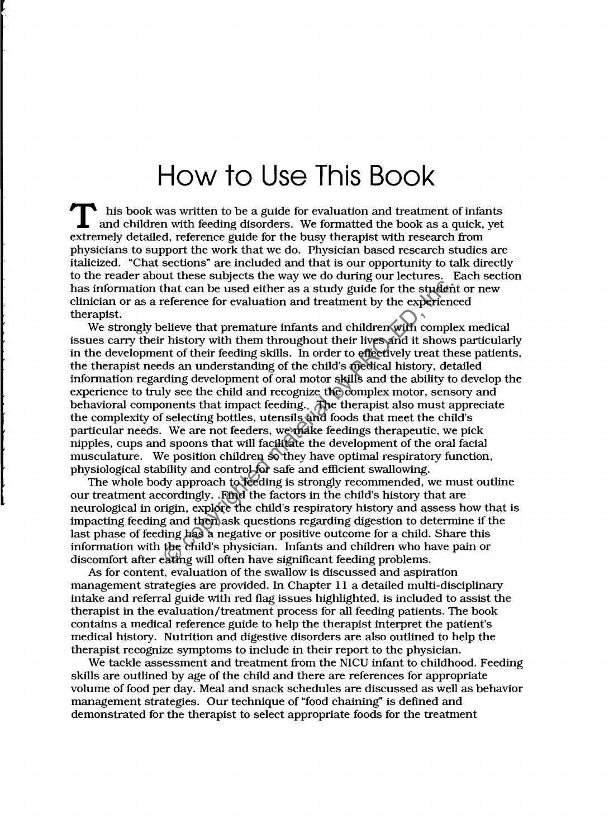## **How to Use This Book**

T his book was written to be a guide for evaluation and treatment of infants and children with feeding disorders. We formatted the book as a quick, yet extremely detailed, reference guide for the busy therapist with research from physicians to support the work that we do. Physician based research studies are italicized. "Chat sections" are included and that is our opportunity to talk directly to the reader about these subjects the way we do during our lectures. Each section has information that can be used either as a study guide for the student or new clinician or as a reference for evaluation and treatment by the experienced therapist.

We strongly believe that premature infants and children with complex medical issues carry their history with them throughout their lives and it shows particularly in the development of their feeding skills. In order to effectively treat these patients, the therapist needs an understanding of the child's medical history. detailed information regarding development of oral motor skills and the ability to develop the experience to truly see the child and recognize the complex motor, sensory and behavioral components that impact feeding. The therapist also must appreciate the complexity of selecting bottles. utensils and foods that meet the child's particular needs. We are not feeders, we make feedings therapeutic, we pick nipples, cups and spoons that will facilitate the development of the oral facial musculature. We position children so they have optimal respiratory function, physiological stability and control for safe and efficient swallowing. that can be used either as a study guide for the studer<br>reference for evaluation and treatment by the experience<br>lieve that premature infants and children with complement<br>history with them throughout their lives and it sho

The whole body approach to feeding is strongly recommended, we must outline our treatment accordingly. Find the factors in the child's history that are neurological in origin. explore the child's respiratory history and assess how that is impacting feeding and then ask questions regarding digestion to determine if the last phase of feeding has a negative or positive outcome for a child. Share this information with the child's physician. Infants and children who have pain or discomfort after eating will often have significant feeding problems.

As for content. evaluation of the swallow is discussed and aspiration management strategies are provided. In Chapter 11 a detailed multi-disciplinary intake and referral guide with red flag issues highlighted, is included to assist the therapist in the evaluation/treatment process for all feeding patients. The book contains a medical reference guide to help the therapist interpret the patient's medical history. Nutrition and digestive disorders are also outlined to help the therapist recognize symptoms to include in their report to the physician.

We tackle assessment and treatment from the NICU infant to childhood. Feeding skills are outlined by age of the child and there are references for appropriate volume offood per day. Meal and snack schedules are discussed as well as behavior management strategies. Our technique of "food chaining" is defined and demonstrated for the therapist to select appropriate foods for the treatment